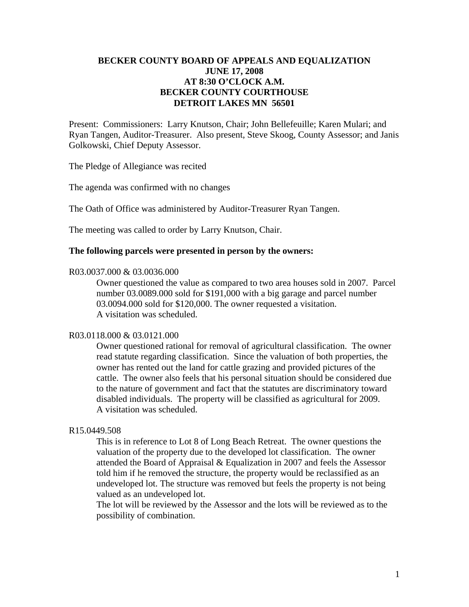# **BECKER COUNTY BOARD OF APPEALS AND EQUALIZATION JUNE 17, 2008 AT 8:30 O'CLOCK A.M. BECKER COUNTY COURTHOUSE DETROIT LAKES MN 56501**

Present: Commissioners: Larry Knutson, Chair; John Bellefeuille; Karen Mulari; and Ryan Tangen, Auditor-Treasurer. Also present, Steve Skoog, County Assessor; and Janis Golkowski, Chief Deputy Assessor.

The Pledge of Allegiance was recited

The agenda was confirmed with no changes

The Oath of Office was administered by Auditor-Treasurer Ryan Tangen.

The meeting was called to order by Larry Knutson, Chair.

# **The following parcels were presented in person by the owners:**

#### R03.0037.000 & 03.0036.000

 Owner questioned the value as compared to two area houses sold in 2007. Parcel number 03.0089.000 sold for \$191,000 with a big garage and parcel number 03.0094.000 sold for \$120,000. The owner requested a visitation. A visitation was scheduled.

#### R03.0118.000 & 03.0121.000

Owner questioned rational for removal of agricultural classification. The owner read statute regarding classification. Since the valuation of both properties, the owner has rented out the land for cattle grazing and provided pictures of the cattle. The owner also feels that his personal situation should be considered due to the nature of government and fact that the statutes are discriminatory toward disabled individuals. The property will be classified as agricultural for 2009. A visitation was scheduled.

# R15.0449.508

This is in reference to Lot 8 of Long Beach Retreat. The owner questions the valuation of the property due to the developed lot classification. The owner attended the Board of Appraisal & Equalization in 2007 and feels the Assessor told him if he removed the structure, the property would be reclassified as an undeveloped lot. The structure was removed but feels the property is not being valued as an undeveloped lot.

The lot will be reviewed by the Assessor and the lots will be reviewed as to the possibility of combination.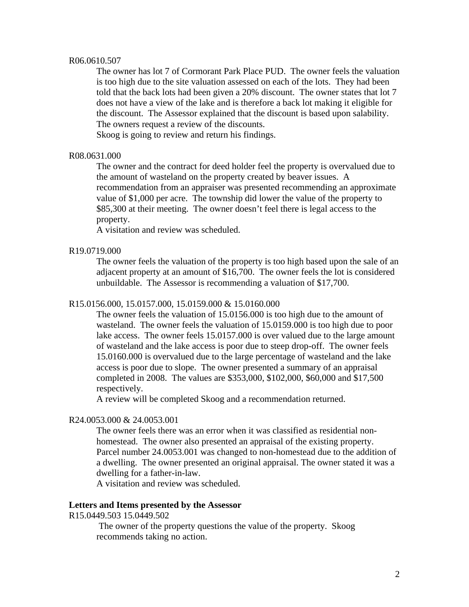#### R06.0610.507

The owner has lot 7 of Cormorant Park Place PUD. The owner feels the valuation is too high due to the site valuation assessed on each of the lots. They had been told that the back lots had been given a 20% discount. The owner states that lot 7 does not have a view of the lake and is therefore a back lot making it eligible for the discount. The Assessor explained that the discount is based upon salability. The owners request a review of the discounts.

Skoog is going to review and return his findings.

## R08.0631.000

 The owner and the contract for deed holder feel the property is overvalued due to the amount of wasteland on the property created by beaver issues. A recommendation from an appraiser was presented recommending an approximate value of \$1,000 per acre. The township did lower the value of the property to \$85,300 at their meeting. The owner doesn't feel there is legal access to the property.

A visitation and review was scheduled.

### R19.0719.000

The owner feels the valuation of the property is too high based upon the sale of an adjacent property at an amount of \$16,700. The owner feels the lot is considered unbuildable. The Assessor is recommending a valuation of \$17,700.

## R15.0156.000, 15.0157.000, 15.0159.000 & 15.0160.000

The owner feels the valuation of 15.0156.000 is too high due to the amount of wasteland. The owner feels the valuation of 15.0159.000 is too high due to poor lake access. The owner feels 15.0157.000 is over valued due to the large amount of wasteland and the lake access is poor due to steep drop-off. The owner feels 15.0160.000 is overvalued due to the large percentage of wasteland and the lake access is poor due to slope. The owner presented a summary of an appraisal completed in 2008. The values are \$353,000, \$102,000, \$60,000 and \$17,500 respectively.

A review will be completed Skoog and a recommendation returned.

## R24.0053.000 & 24.0053.001

The owner feels there was an error when it was classified as residential nonhomestead. The owner also presented an appraisal of the existing property. Parcel number 24.0053.001 was changed to non-homestead due to the addition of a dwelling. The owner presented an original appraisal. The owner stated it was a dwelling for a father-in-law.

A visitation and review was scheduled.

## **Letters and Items presented by the Assessor**

# R15.0449.503 15.0449.502

The owner of the property questions the value of the property. Skoog recommends taking no action.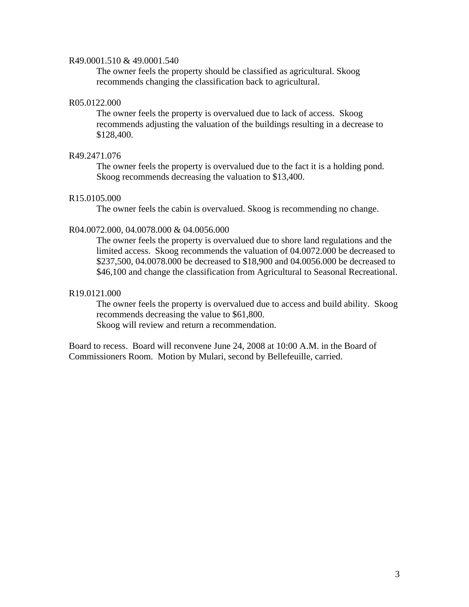### R49.0001.510 & 49.0001.540

The owner feels the property should be classified as agricultural. Skoog recommends changing the classification back to agricultural.

# R05.0122.000

The owner feels the property is overvalued due to lack of access. Skoog recommends adjusting the valuation of the buildings resulting in a decrease to \$128,400.

## R49.2471.076

The owner feels the property is overvalued due to the fact it is a holding pond. Skoog recommends decreasing the valuation to \$13,400.

## R15.0105.000

The owner feels the cabin is overvalued. Skoog is recommending no change.

### R04.0072.000, 04.0078.000 & 04.0056.000

The owner feels the property is overvalued due to shore land regulations and the limited access. Skoog recommends the valuation of 04.0072.000 be decreased to \$237,500, 04.0078.000 be decreased to \$18,900 and 04.0056.000 be decreased to \$46,100 and change the classification from Agricultural to Seasonal Recreational.

## R19.0121.000

The owner feels the property is overvalued due to access and build ability. Skoog recommends decreasing the value to \$61,800.

Skoog will review and return a recommendation.

Board to recess. Board will reconvene June 24, 2008 at 10:00 A.M. in the Board of Commissioners Room. Motion by Mulari, second by Bellefeuille, carried.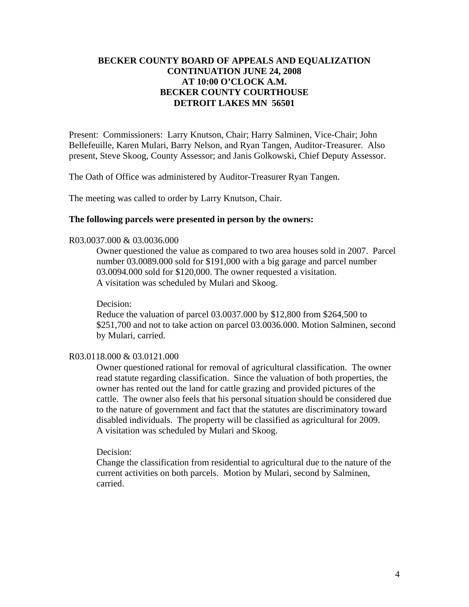# **BECKER COUNTY BOARD OF APPEALS AND EQUALIZATION CONTINUATION JUNE 24, 2008 AT 10:00 O'CLOCK A.M. BECKER COUNTY COURTHOUSE DETROIT LAKES MN 56501**

Present: Commissioners: Larry Knutson, Chair; Harry Salminen, Vice-Chair; John Bellefeuille, Karen Mulari, Barry Nelson, and Ryan Tangen, Auditor-Treasurer. Also present, Steve Skoog, County Assessor; and Janis Golkowski, Chief Deputy Assessor.

The Oath of Office was administered by Auditor-Treasurer Ryan Tangen.

The meeting was called to order by Larry Knutson, Chair.

# **The following parcels were presented in person by the owners:**

# R03.0037.000 & 03.0036.000

 Owner questioned the value as compared to two area houses sold in 2007. Parcel number 03.0089.000 sold for \$191,000 with a big garage and parcel number 03.0094.000 sold for \$120,000. The owner requested a visitation. A visitation was scheduled by Mulari and Skoog.

Decision:

Reduce the valuation of parcel 03.0037.000 by \$12,800 from \$264,500 to \$251,700 and not to take action on parcel 03.0036.000. Motion Salminen, second by Mulari, carried.

## R03.0118.000 & 03.0121.000

Owner questioned rational for removal of agricultural classification. The owner read statute regarding classification. Since the valuation of both properties, the owner has rented out the land for cattle grazing and provided pictures of the cattle. The owner also feels that his personal situation should be considered due to the nature of government and fact that the statutes are discriminatory toward disabled individuals. The property will be classified as agricultural for 2009. A visitation was scheduled by Mulari and Skoog.

## Decision:

Change the classification from residential to agricultural due to the nature of the current activities on both parcels. Motion by Mulari, second by Salminen, carried.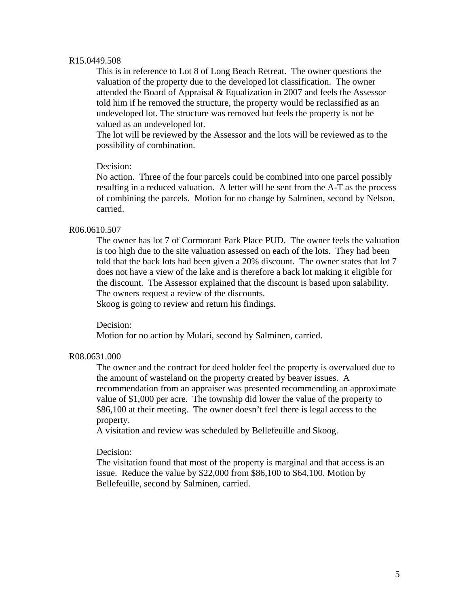### R15.0449.508

This is in reference to Lot 8 of Long Beach Retreat. The owner questions the valuation of the property due to the developed lot classification. The owner attended the Board of Appraisal & Equalization in 2007 and feels the Assessor told him if he removed the structure, the property would be reclassified as an undeveloped lot. The structure was removed but feels the property is not be valued as an undeveloped lot.

The lot will be reviewed by the Assessor and the lots will be reviewed as to the possibility of combination.

## Decision:

No action. Three of the four parcels could be combined into one parcel possibly resulting in a reduced valuation. A letter will be sent from the A-T as the process of combining the parcels. Motion for no change by Salminen, second by Nelson, carried.

### R06.0610.507

The owner has lot 7 of Cormorant Park Place PUD. The owner feels the valuation is too high due to the site valuation assessed on each of the lots. They had been told that the back lots had been given a 20% discount. The owner states that lot 7 does not have a view of the lake and is therefore a back lot making it eligible for the discount. The Assessor explained that the discount is based upon salability. The owners request a review of the discounts.

Skoog is going to review and return his findings.

Decision:

Motion for no action by Mulari, second by Salminen, carried.

#### R08.0631.000

 The owner and the contract for deed holder feel the property is overvalued due to the amount of wasteland on the property created by beaver issues. A recommendation from an appraiser was presented recommending an approximate value of \$1,000 per acre. The township did lower the value of the property to \$86,100 at their meeting. The owner doesn't feel there is legal access to the property.

A visitation and review was scheduled by Bellefeuille and Skoog.

### Decision:

The visitation found that most of the property is marginal and that access is an issue. Reduce the value by \$22,000 from \$86,100 to \$64,100. Motion by Bellefeuille, second by Salminen, carried.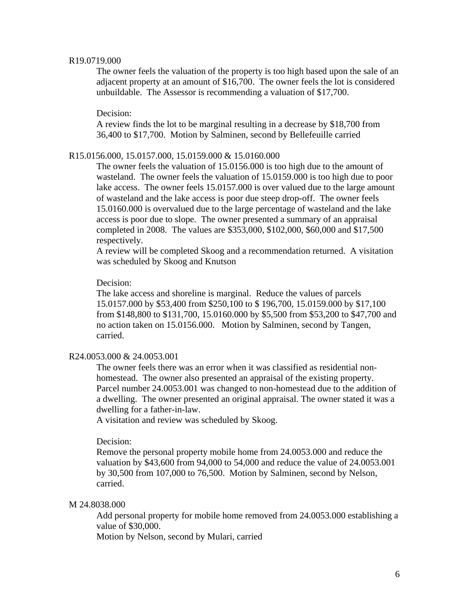#### R19.0719.000

The owner feels the valuation of the property is too high based upon the sale of an adjacent property at an amount of \$16,700. The owner feels the lot is considered unbuildable. The Assessor is recommending a valuation of \$17,700.

#### Decision:

A review finds the lot to be marginal resulting in a decrease by \$18,700 from 36,400 to \$17,700. Motion by Salminen, second by Bellefeuille carried

## R15.0156.000, 15.0157.000, 15.0159.000 & 15.0160.000

The owner feels the valuation of 15.0156.000 is too high due to the amount of wasteland. The owner feels the valuation of 15.0159.000 is too high due to poor lake access. The owner feels 15.0157.000 is over valued due to the large amount of wasteland and the lake access is poor due steep drop-off. The owner feels 15.0160.000 is overvalued due to the large percentage of wasteland and the lake access is poor due to slope. The owner presented a summary of an appraisal completed in 2008. The values are \$353,000, \$102,000, \$60,000 and \$17,500 respectively.

A review will be completed Skoog and a recommendation returned. A visitation was scheduled by Skoog and Knutson

# Decision:

The lake access and shoreline is marginal. Reduce the values of parcels 15.0157.000 by \$53,400 from \$250,100 to \$ 196,700, 15.0159.000 by \$17,100 from \$148,800 to \$131,700, 15.0160.000 by \$5,500 from \$53,200 to \$47,700 and no action taken on 15.0156.000. Motion by Salminen, second by Tangen, carried.

### R24.0053.000 & 24.0053.001

The owner feels there was an error when it was classified as residential nonhomestead. The owner also presented an appraisal of the existing property. Parcel number 24.0053.001 was changed to non-homestead due to the addition of a dwelling. The owner presented an original appraisal. The owner stated it was a dwelling for a father-in-law.

A visitation and review was scheduled by Skoog.

### Decision:

Remove the personal property mobile home from 24.0053.000 and reduce the valuation by \$43,600 from 94,000 to 54,000 and reduce the value of 24.0053.001 by 30,500 from 107,000 to 76,500. Motion by Salminen, second by Nelson, carried.

#### M 24.8038.000

Add personal property for mobile home removed from 24.0053.000 establishing a value of \$30,000.

Motion by Nelson, second by Mulari, carried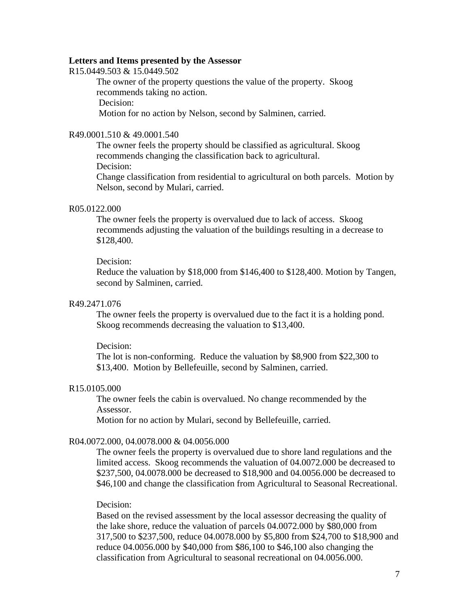#### **Letters and Items presented by the Assessor**

R15.0449.503 & 15.0449.502

The owner of the property questions the value of the property. Skoog recommends taking no action. Decision:

Motion for no action by Nelson, second by Salminen, carried.

# R49.0001.510 & 49.0001.540

The owner feels the property should be classified as agricultural. Skoog recommends changing the classification back to agricultural. Decision:

Change classification from residential to agricultural on both parcels. Motion by Nelson, second by Mulari, carried.

# R05.0122.000

The owner feels the property is overvalued due to lack of access. Skoog recommends adjusting the valuation of the buildings resulting in a decrease to \$128,400.

### Decision:

Reduce the valuation by \$18,000 from \$146,400 to \$128,400. Motion by Tangen, second by Salminen, carried.

## R49.2471.076

The owner feels the property is overvalued due to the fact it is a holding pond. Skoog recommends decreasing the valuation to \$13,400.

# Decision:

The lot is non-conforming. Reduce the valuation by \$8,900 from \$22,300 to \$13,400. Motion by Bellefeuille, second by Salminen, carried.

#### R15.0105.000

The owner feels the cabin is overvalued. No change recommended by the Assessor.

Motion for no action by Mulari, second by Bellefeuille, carried.

#### R04.0072.000, 04.0078.000 & 04.0056.000

The owner feels the property is overvalued due to shore land regulations and the limited access. Skoog recommends the valuation of 04.0072.000 be decreased to \$237,500, 04.0078.000 be decreased to \$18,900 and 04.0056.000 be decreased to \$46,100 and change the classification from Agricultural to Seasonal Recreational.

## Decision:

Based on the revised assessment by the local assessor decreasing the quality of the lake shore, reduce the valuation of parcels 04.0072.000 by \$80,000 from 317,500 to \$237,500, reduce 04.0078.000 by \$5,800 from \$24,700 to \$18,900 and reduce 04.0056.000 by \$40,000 from \$86,100 to \$46,100 also changing the classification from Agricultural to seasonal recreational on 04.0056.000.